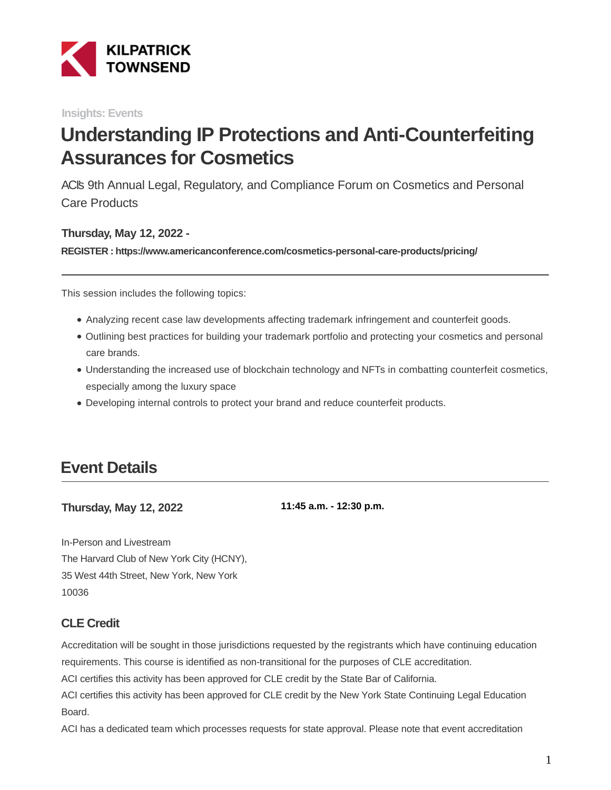

**Insights: Events**

# **Understanding IP Protections and Anti-Counterfeiting Assurances for Cosmetics**

ACI's 9th Annual Legal, Regulatory, and Compliance Forum on Cosmetics and Personal Care Products

#### **Thursday, May 12, 2022 -**

**REGISTER : https://www.americanconference.com/cosmetics-personal-care-products/pricing/**

This session includes the following topics:

- Analyzing recent case law developments affecting trademark infringement and counterfeit goods.
- Outlining best practices for building your trademark portfolio and protecting your cosmetics and personal care brands.
- Understanding the increased use of blockchain technology and NFTs in combatting counterfeit cosmetics, especially among the luxury space
- Developing internal controls to protect your brand and reduce counterfeit products.

### **Event Details**

**Thursday, May 12, 2022**

**11:45 a.m. - 12:30 p.m.**

In-Person and Livestream The Harvard Club of New York City (HCNY), 35 West 44th Street, New York, New York 10036

#### **CLE Credit**

Accreditation will be sought in those jurisdictions requested by the registrants which have continuing education requirements. This course is identified as non-transitional for the purposes of CLE accreditation.

ACI certifies this activity has been approved for CLE credit by the State Bar of California.

ACI certifies this activity has been approved for CLE credit by the New York State Continuing Legal Education **Board** 

ACI has a dedicated team which processes requests for state approval. Please note that event accreditation